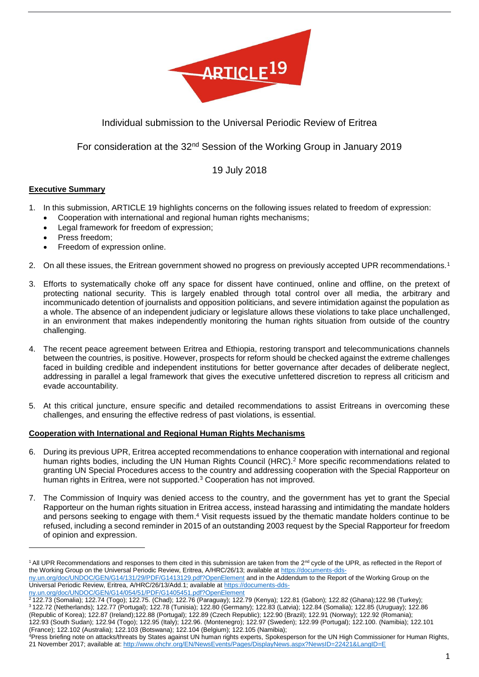

# Individual submission to the Universal Periodic Review of Eritrea

## For consideration at the 32nd Session of the Working Group in January 2019

## 19 July 2018

## **Executive Summary**

**.** 

- 1. In this submission, ARTICLE 19 highlights concerns on the following issues related to freedom of expression:
	- Cooperation with international and regional human rights mechanisms;
	- Legal framework for freedom of expression;
	- Press freedom;
	- Freedom of expression online.
- 2. On all these issues, the Eritrean government showed no progress on previously accepted UPR recommendations.<sup>1</sup>
- 3. Efforts to systematically choke off any space for dissent have continued, online and offline, on the pretext of protecting national security. This is largely enabled through total control over all media, the arbitrary and incommunicado detention of journalists and opposition politicians, and severe intimidation against the population as a whole. The absence of an independent judiciary or legislature allows these violations to take place unchallenged, in an environment that makes independently monitoring the human rights situation from outside of the country challenging.
- 4. The recent peace agreement between Eritrea and Ethiopia, restoring transport and telecommunications channels between the countries, is positive. However, prospects for reform should be checked against the extreme challenges faced in building credible and independent institutions for better governance after decades of deliberate neglect, addressing in parallel a legal framework that gives the executive unfettered discretion to repress all criticism and evade accountability.
- 5. At this critical juncture, ensure specific and detailed recommendations to assist Eritreans in overcoming these challenges, and ensuring the effective redress of past violations, is essential.

#### **Cooperation with International and Regional Human Rights Mechanisms**

- 6. During its previous UPR, Eritrea accepted recommendations to enhance cooperation with international and regional human rights bodies, including the UN Human Rights Council (HRC).<sup>2</sup> More specific recommendations related to granting UN Special Procedures access to the country and addressing cooperation with the Special Rapporteur on human rights in Eritrea, were not supported.<sup>3</sup> Cooperation has not improved.
- 7. The Commission of Inquiry was denied access to the country, and the government has yet to grant the Special Rapporteur on the human rights situation in Eritrea access, instead harassing and intimidating the mandate holders and persons seeking to engage with them.<sup>4</sup> Visit requests issued by the thematic mandate holders continue to be refused, including a second reminder in 2015 of an outstanding 2003 request by the Special Rapporteur for freedom of opinion and expression.

[ny.un.org/doc/UNDOC/GEN/G14/054/51/PDF/G1405451.pdf?OpenElement](https://documents-dds-ny.un.org/doc/UNDOC/GEN/G14/054/51/PDF/G1405451.pdf?OpenElement)

<sup>&</sup>lt;sup>1</sup> All UPR Recommendations and responses to them cited in this submission are taken from the 2<sup>nd</sup> cycle of the UPR, as reflected in the Report of the Working Group on the Universal Periodic Review, Eritrea, A/HRC/26/13; available a[t https://documents-dds-](https://documents-dds-ny.un.org/doc/UNDOC/GEN/G14/131/29/PDF/G1413129.pdf?OpenElement)

[ny.un.org/doc/UNDOC/GEN/G14/131/29/PDF/G1413129.pdf?OpenElement](https://documents-dds-ny.un.org/doc/UNDOC/GEN/G14/131/29/PDF/G1413129.pdf?OpenElement) and in the Addendum to the Report of the Working Group on the Universal Periodic Review, Eritrea, A/HRC/26/13/Add.1; available at [https://documents-dds-](https://documents-dds-ny.un.org/doc/UNDOC/GEN/G14/054/51/PDF/G1405451.pdf?OpenElement)

<sup>2</sup> 122.73 (Somalia); 122.74 (Togo); 122.75. (Chad); 122.76 (Paraguay); 122.79 (Kenya); 122.81 (Gabon); 122.82 (Ghana);122.98 (Turkey); <sup>3</sup> 122.72 (Netherlands); 122.77 (Portugal); 122.78 (Tunisia); 122.80 (Germany); 122.83 (Latvia); 122.84 (Somalia); 122.85 (Uruguay); 122.86 (Republic of Korea); 122.87 (Ireland);122.88 (Portugal); 122.89 (Czech Republic); 122.90 (Brazil); 122.91 (Norway); 122.92 (Romania); 122.93 (South Sudan); 122.94 (Togo); 122.95 (Italy); 122.96. (Montenegro); 122.97 (Sweden); 122.99 (Portugal); 122.100. (Namibia); 122.101 (France); 122.102 (Australia); 122.103 (Botswana); 122.104 (Belgium); 122.105 (Namibia);

<sup>4</sup>Press briefing note on attacks/threats by States against UN human rights experts, Spokesperson for the UN High Commissioner for Human Rights, 21 November 2017; available at[: http://www.ohchr.org/EN/NewsEvents/Pages/DisplayNews.aspx?NewsID=22421&LangID=E](http://www.ohchr.org/EN/NewsEvents/Pages/DisplayNews.aspx?NewsID=22421&LangID=E)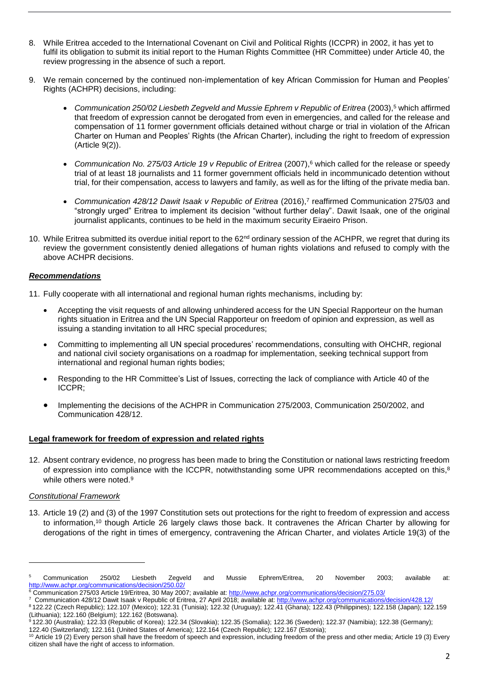- 8. While Eritrea acceded to the International Covenant on Civil and Political Rights (ICCPR) in 2002, it has yet to fulfil its obligation to submit its initial report to the Human Rights Committee (HR Committee) under Article 40, the review progressing in the absence of such a report.
- 9. We remain concerned by the continued non-implementation of key African Commission for Human and Peoples' Rights (ACHPR) decisions, including:
	- *Communication 250/02 Liesbeth Zegveld and Mussie Ephrem v Republic of Eritrea* (2003), <sup>5</sup> which affirmed that freedom of expression cannot be derogated from even in emergencies, and called for the release and compensation of 11 former government officials detained without charge or trial in violation of the African Charter on Human and Peoples' Rights (the African Charter), including the right to freedom of expression (Article 9(2)).
	- *Communication No. 275/03 Article 19 v Republic of Eritrea* (2007), <sup>6</sup> which called for the release or speedy trial of at least 18 journalists and 11 former government officials held in incommunicado detention without trial, for their compensation, access to lawyers and family, as well as for the lifting of the private media ban.
	- Communication 428/12 Dawit Isaak v Republic of Eritrea (2016),<sup>7</sup> reaffirmed Communication 275/03 and "strongly urged" Eritrea to implement its decision "without further delay". Dawit Isaak, one of the original journalist applicants, continues to be held in the maximum security Eiraeiro Prison.
- 10. While Eritrea submitted its overdue initial report to the  $62<sup>nd</sup>$  ordinary session of the ACHPR, we regret that during its review the government consistently denied allegations of human rights violations and refused to comply with the above ACHPR decisions.

## *Recommendations*

- 11. Fully cooperate with all international and regional human rights mechanisms, including by:
	- Accepting the visit requests of and allowing unhindered access for the UN Special Rapporteur on the human rights situation in Eritrea and the UN Special Rapporteur on freedom of opinion and expression, as well as issuing a standing invitation to all HRC special procedures;
	- Committing to implementing all UN special procedures' recommendations, consulting with OHCHR, regional and national civil society organisations on a roadmap for implementation, seeking technical support from international and regional human rights bodies;
	- Responding to the HR Committee's List of Issues, correcting the lack of compliance with Article 40 of the ICCPR;
	- Implementing the decisions of the ACHPR in Communication 275/2003, Communication 250/2002, and Communication 428/12.

#### **Legal framework for freedom of expression and related rights**

12. Absent contrary evidence, no progress has been made to bring the Constitution or national laws restricting freedom of expression into compliance with the ICCPR, notwithstanding some UPR recommendations accepted on this,<sup>8</sup> while others were noted.<sup>9</sup>

#### *Constitutional Framework*

**.** 

13. Article 19 (2) and (3) of the 1997 Constitution sets out protections for the right to freedom of expression and access to information,<sup>10</sup> though Article 26 largely claws those back. It contravenes the African Charter by allowing for derogations of the right in times of emergency, contravening the African Charter, and violates Article 19(3) of the

<sup>&</sup>lt;sup>5</sup> Communication 250/02 Liesbeth Zegveld and Mussie Ephrem/Eritrea, 20 November 2003; available at: <http://www.achpr.org/communications/decision/250.02/>

<sup>6</sup> Communication 275/03 Article 19/Eritrea, 30 May 2007; available at: http://www.achpr.org/communications/decision/275.03/

<sup>7</sup> Communication 428/12 Dawit Isaak v Republic of Eritrea, 27 April 2018; available at[: http://www.achpr.org/communications/decision/428.12/](http://www.achpr.org/communications/decision/428.12/)

<sup>8</sup> 122.22 (Czech Republic); 122.107 (Mexico); 122.31 (Tunisia); 122.32 (Uruguay); 122.41 (Ghana); 122.43 (Philippines); 122.158 (Japan); 122.159 (Lithuania); 122.160 (Belgium); 122.162 (Botswana).

<sup>9</sup> 122.30 (Australia); 122.33 (Republic of Korea); 122.34 (Slovakia); 122.35 (Somalia); 122.36 (Sweden); 122.37 (Namibia); 122.38 (Germany); 122.40 (Switzerland); 122.161 (United States of America); 122.164 (Czech Republic); 122.167 (Estonia);

<sup>10</sup> Article 19 (2) Every person shall have the freedom of speech and expression, including freedom of the press and other media; Article 19 (3) Every citizen shall have the right of access to information.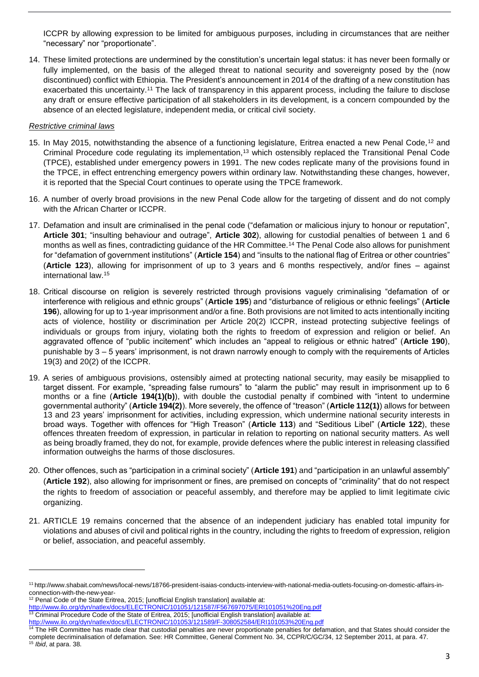ICCPR by allowing expression to be limited for ambiguous purposes, including in circumstances that are neither "necessary" nor "proportionate".

14. These limited protections are undermined by the constitution's uncertain legal status: it has never been formally or fully implemented, on the basis of the alleged threat to national security and sovereignty posed by the (now discontinued) conflict with Ethiopia. The President's announcement in 2014 of the drafting of a new constitution has exacerbated this uncertainty.<sup>11</sup> The lack of transparency in this apparent process, including the failure to disclose any draft or ensure effective participation of all stakeholders in its development, is a concern compounded by the absence of an elected legislature, independent media, or critical civil society.

#### *Restrictive criminal laws*

- 15. In May 2015, notwithstanding the absence of a functioning legislature, Eritrea enacted a new Penal Code,<sup>12</sup> and Criminal Procedure code regulating its implementation,<sup>13</sup> which ostensibly replaced the Transitional Penal Code (TPCE), established under emergency powers in 1991. The new codes replicate many of the provisions found in the TPCE, in effect entrenching emergency powers within ordinary law. Notwithstanding these changes, however, it is reported that the Special Court continues to operate using the TPCE framework.
- 16. A number of overly broad provisions in the new Penal Code allow for the targeting of dissent and do not comply with the African Charter or ICCPR.
- 17. Defamation and insult are criminalised in the penal code ("defamation or malicious injury to honour or reputation", **Article 301**; "insulting behaviour and outrage", **Article 302**), allowing for custodial penalties of between 1 and 6 months as well as fines, contradicting guidance of the HR Committee.<sup>14</sup> The Penal Code also allows for punishment for "defamation of government institutions" (**Article 154**) and "insults to the national flag of Eritrea or other countries" (**Article 123**), allowing for imprisonment of up to 3 years and 6 months respectively, and/or fines – against international law.<sup>15</sup>
- 18. Critical discourse on religion is severely restricted through provisions vaguely criminalising "defamation of or interference with religious and ethnic groups" (**Article 195**) and "disturbance of religious or ethnic feelings" (**Article 196**), allowing for up to 1-year imprisonment and/or a fine. Both provisions are not limited to acts intentionally inciting acts of violence, hostility or discrimination per Article 20(2) ICCPR, instead protecting subjective feelings of individuals or groups from injury, violating both the rights to freedom of expression and religion or belief. An aggravated offence of "public incitement" which includes an "appeal to religious or ethnic hatred" (**Article 190**), punishable by 3 – 5 years' imprisonment, is not drawn narrowly enough to comply with the requirements of Articles 19(3) and 20(2) of the ICCPR.
- 19. A series of ambiguous provisions, ostensibly aimed at protecting national security, may easily be misapplied to target dissent. For example, "spreading false rumours" to "alarm the public" may result in imprisonment up to 6 months or a fine (**Article 194(1)(b)**), with double the custodial penalty if combined with "intent to undermine governmental authority" (**Article 194(2)**). More severely, the offence of "treason" (**Article 112(1)**) allows for between 13 and 23 years' imprisonment for activities, including expression, which undermine national security interests in broad ways. Together with offences for "High Treason" (**Article 113**) and "Seditious Libel" (**Article 122**), these offences threaten freedom of expression, in particular in relation to reporting on national security matters. As well as being broadly framed, they do not, for example, provide defences where the public interest in releasing classified information outweighs the harms of those disclosures.
- 20. Other offences, such as "participation in a criminal society" (**Article 191**) and "participation in an unlawful assembly" (**Article 192**), also allowing for imprisonment or fines, are premised on concepts of "criminality" that do not respect the rights to freedom of association or peaceful assembly, and therefore may be applied to limit legitimate civic organizing.
- 21. ARTICLE 19 remains concerned that the absence of an independent judiciary has enabled total impunity for violations and abuses of civil and political rights in the country, including the rights to freedom of expression, religion or belief, association, and peaceful assembly.

1

<sup>11</sup> http://www.shabait.com/news/local-news/18766-president-isaias-conducts-interview-with-national-media-outlets-focusing-on-domestic-affairs-inconnection-with-the-new-year-

 $12$  Penal Code of the State Eritrea, 2015; [unofficial English translation] available at:

<http://www.ilo.org/dyn/natlex/docs/ELECTRONIC/101051/121587/F567697075/ERI101051%20Eng.pdf> 13 Criminal Procedure Code of the State of Eritrea, 2015; [unofficial English translation] available at:

<http://www.ilo.org/dyn/natlex/docs/ELECTRONIC/101053/121589/F-308052584/ERI101053%20Eng.pdf>

<sup>&</sup>lt;sup>14</sup> The HR Committee has made clear that custodial penalties are never proportionate penalties for defamation, and that States should consider the complete decriminalisation of defamation. See: HR Committee, General Comment No. 34, CCPR/C/GC/34, 12 September 2011, at para. 47.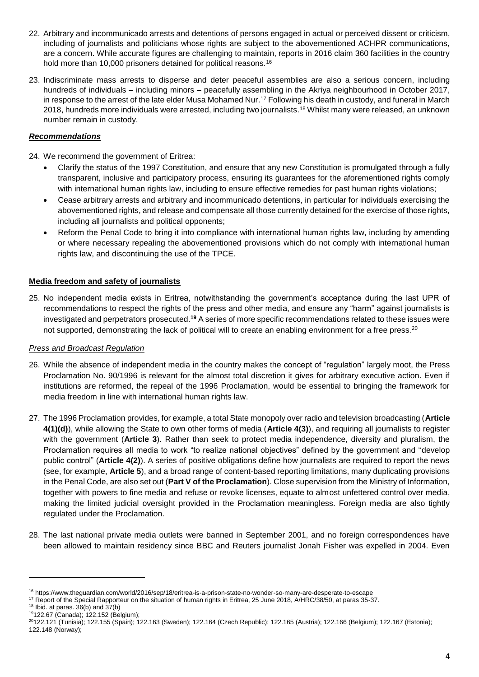- 22. Arbitrary and incommunicado arrests and detentions of persons engaged in actual or perceived dissent or criticism, including of journalists and politicians whose rights are subject to the abovementioned ACHPR communications, are a concern. While accurate figures are challenging to maintain, reports in 2016 claim 360 facilities in the country hold more than 10,000 prisoners detained for political reasons.<sup>16</sup>
- 23. Indiscriminate mass arrests to disperse and deter peaceful assemblies are also a serious concern, including hundreds of individuals – including minors – peacefully assembling in the Akriya neighbourhood in October 2017, in response to the arrest of the late elder Musa Mohamed Nur. <sup>17</sup> Following his death in custody, and funeral in March 2018, hundreds more individuals were arrested, including two journalists.<sup>18</sup> Whilst many were released, an unknown number remain in custody.

## *Recommendations*

24. We recommend the government of Eritrea:

- Clarify the status of the 1997 Constitution, and ensure that any new Constitution is promulgated through a fully transparent, inclusive and participatory process, ensuring its guarantees for the aforementioned rights comply with international human rights law, including to ensure effective remedies for past human rights violations;
- Cease arbitrary arrests and arbitrary and incommunicado detentions, in particular for individuals exercising the abovementioned rights, and release and compensate all those currently detained for the exercise of those rights, including all journalists and political opponents;
- Reform the Penal Code to bring it into compliance with international human rights law, including by amending or where necessary repealing the abovementioned provisions which do not comply with international human rights law, and discontinuing the use of the TPCE.

## **Media freedom and safety of journalists**

25. No independent media exists in Eritrea, notwithstanding the government's acceptance during the last UPR of recommendations to respect the rights of the press and other media, and ensure any "harm" against journalists is investigated and perpetrators prosecuted. **<sup>19</sup>** A series of more specific recommendations related to these issues were not supported, demonstrating the lack of political will to create an enabling environment for a free press.<sup>20</sup>

#### *Press and Broadcast Regulation*

- 26. While the absence of independent media in the country makes the concept of "regulation" largely moot, the Press Proclamation No. 90/1996 is relevant for the almost total discretion it gives for arbitrary executive action. Even if institutions are reformed, the repeal of the 1996 Proclamation, would be essential to bringing the framework for media freedom in line with international human rights law.
- 27. The 1996 Proclamation provides, for example, a total State monopoly over radio and television broadcasting (**Article 4(1)(d)**), while allowing the State to own other forms of media (**Article 4(3)**), and requiring all journalists to register with the government (**Article 3**). Rather than seek to protect media independence, diversity and pluralism, the Proclamation requires all media to work "to realize national objectives" defined by the government and "develop public control" (**Article 4(2)**). A series of positive obligations define how journalists are required to report the news (see, for example, **Article 5**), and a broad range of content-based reporting limitations, many duplicating provisions in the Penal Code, are also set out (**Part V of the Proclamation**). Close supervision from the Ministry of Information, together with powers to fine media and refuse or revoke licenses, equate to almost unfettered control over media, making the limited judicial oversight provided in the Proclamation meaningless. Foreign media are also tightly regulated under the Proclamation.
- 28. The last national private media outlets were banned in September 2001, and no foreign correspondences have been allowed to maintain residency since BBC and Reuters journalist Jonah Fisher was expelled in 2004. Even

**.** 

<sup>16</sup> https://www.theguardian.com/world/2016/sep/18/eritrea-is-a-prison-state-no-wonder-so-many-are-desperate-to-escape

<sup>17</sup> Report of the Special Rapporteur on the situation of human rights in Eritrea, 25 June 2018, A/HRC/38/50, at paras 35-37.

 $18$  Ibid. at paras.  $36(b)$  and  $37(b)$ 

<sup>19</sup>122.67 (Canada); 122.152 (Belgium);

<sup>&</sup>lt;sup>20</sup>122.121 (Tunisia); 122.155 (Spain); 122.163 (Sweden); 122.164 (Czech Republic); 122.165 (Austria); 122.166 (Belgium); 122.167 (Estonia); 122.148 (Norway);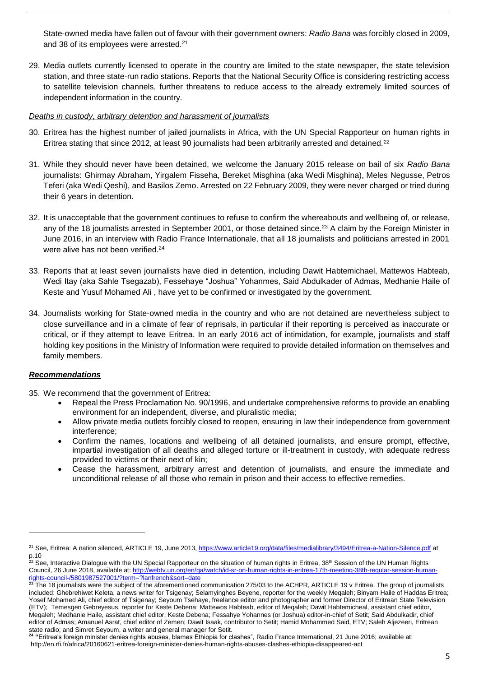State-owned media have fallen out of favour with their government owners: *Radio Bana* was forcibly closed in 2009, and 38 of its employees were arrested.<sup>21</sup>

29. Media outlets currently licensed to operate in the country are limited to the state newspaper, the state television station, and three state-run radio stations. Reports that the National Security Office is considering restricting access to satellite television channels, further threatens to reduce access to the already extremely limited sources of independent information in the country.

#### *Deaths in custody, arbitrary detention and harassment of journalists*

- 30. Eritrea has the highest number of jailed journalists in Africa, with the UN Special Rapporteur on human rights in Eritrea stating that since 2012, at least 90 journalists had been arbitrarily arrested and detained.<sup>22</sup>
- 31. While they should never have been detained, we welcome the January 2015 release on bail of six *Radio Bana* journalists: Ghirmay Abraham, Yirgalem Fisseha, Bereket Misghina (aka Wedi Misghina), Meles Negusse, Petros Teferi (aka Wedi Qeshi), and Basilos Zemo. Arrested on 22 February 2009, they were never charged or tried during their 6 years in detention.
- 32. It is unacceptable that the government continues to refuse to confirm the whereabouts and wellbeing of, or release, any of the 18 journalists arrested in September 2001, or those detained since.<sup>23</sup> A claim by the Foreign Minister in June 2016, in an interview with Radio France Internationale, that all 18 journalists and politicians arrested in 2001 were alive has not been verified.<sup>24</sup>
- 33. Reports that at least seven journalists have died in detention, including Dawit Habtemichael, Mattewos Habteab, Wedi Itay (aka Sahle Tsegazab), Fessehaye "Joshua" Yohanmes, Said Abdulkader of Admas, Medhanie Haile of Keste and Yusuf Mohamed Ali , have yet to be confirmed or investigated by the government.
- 34. Journalists working for State-owned media in the country and who are not detained are nevertheless subject to close surveillance and in a climate of fear of reprisals, in particular if their reporting is perceived as inaccurate or critical, or if they attempt to leave Eritrea. In an early 2016 act of intimidation, for example, journalists and staff holding key positions in the Ministry of Information were required to provide detailed information on themselves and family members.

#### *Recommendations*

**.** 

35. We recommend that the government of Eritrea:

- Repeal the Press Proclamation No. 90/1996, and undertake comprehensive reforms to provide an enabling environment for an independent, diverse, and pluralistic media;
- Allow private media outlets forcibly closed to reopen, ensuring in law their independence from government interference;
- Confirm the names, locations and wellbeing of all detained journalists, and ensure prompt, effective, impartial investigation of all deaths and alleged torture or ill-treatment in custody, with adequate redress provided to victims or their next of kin;
- Cease the harassment, arbitrary arrest and detention of journalists, and ensure the immediate and unconditional release of all those who remain in prison and their access to effective remedies.

<sup>&</sup>lt;sup>21</sup> See, Eritrea: A nation silenced, ARTICLE 19, June 2013,<https://www.article19.org/data/files/medialibrary/3494/Eritrea-a-Nation-Silence.pdf> at p.10

 $22$  See, Interactive Dialogue with the UN Special Rapporteur on the situation of human rights in Eritrea, 38<sup>th</sup> Session of the UN Human Rights Council, 26 June 2018, available at: [http://webtv.un.org/en/ga/watch/id-sr-on-human-rights-in-eritrea-17th-meeting-38th-regular-session-human](http://webtv.un.org/en/ga/watch/id-sr-on-human-rights-in-eritrea-17th-meeting-38th-regular-session-human-rights-council-/5801987527001/?term=?lanfrench&sort=date)[rights-council-/5801987527001/?term=?lanfrench&sort=date](http://webtv.un.org/en/ga/watch/id-sr-on-human-rights-in-eritrea-17th-meeting-38th-regular-session-human-rights-council-/5801987527001/?term=?lanfrench&sort=date)

<sup>&</sup>lt;sup>23</sup> The 18 journalists were the subject of the aforementioned communication 275/03 to the ACHPR, ARTICLE 19 v Eritrea. The group of journalists included: Ghebrehiwet Keleta, a news writer for Tsigenay; Selamyinghes Beyene, reporter for the weekly Meqaleh; Binyam Haile of Haddas Eritrea; Yosef Mohamed Ali, chief editor of Tsigenay; Seyoum Tsehaye, freelance editor and photographer and former Director of Eritrean State Television (ETV); Temesgen Gebreyesus, reporter for Keste Debena; Mattewos Habteab, editor of Meqaleh; Dawit Habtemicheal, assistant chief editor, Meqaleh; Medhanie Haile, assistant chief editor, Keste Debena; Fessahye Yohannes (or Joshua) editor-in-chief of Setit; Said Abdulkadir, chief editor of Admas; Amanuel Asrat, chief editor of Zemen; Dawit Isaak, contributor to Setit; Hamid Mohammed Said, ETV; Saleh Aljezeeri, Eritrean state radio; and Simret Seyoum, a writer and general manager for Setit.

**<sup>24</sup> "**Eritrea's foreign minister denies rights abuses, blames Ethiopia for clashes", Radio France International, 21 June 2016; available at: http://en.rfi.fr/africa/20160621-eritrea-foreign-minister-denies-human-rights-abuses-clashes-ethiopia-disappeared-act